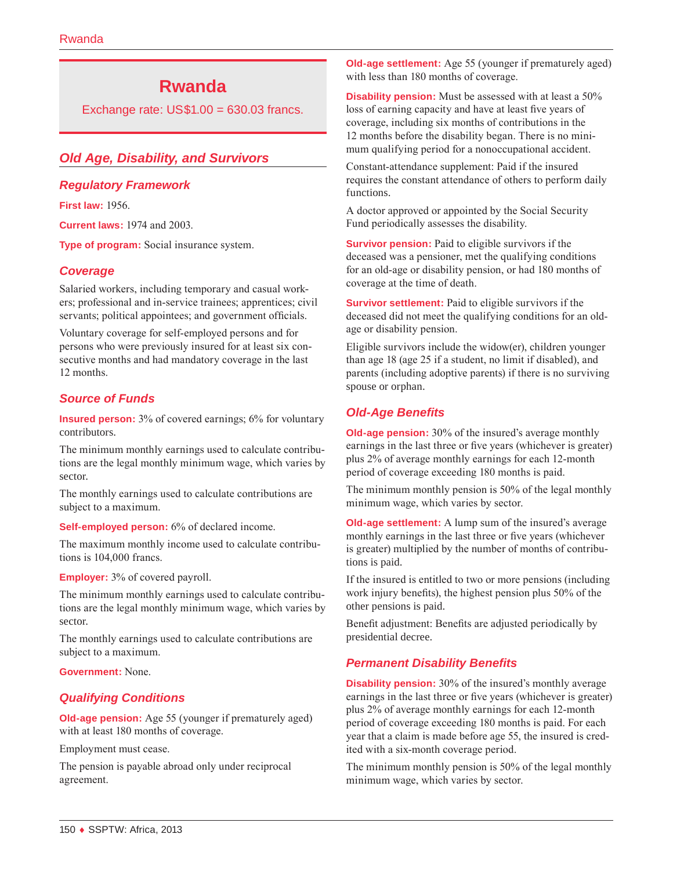# **Rwanda**

Exchange rate: US\$1.00 = 630.03 francs.

# *Old Age, Disability, and Survivors*

## *Regulatory Framework*

**First law:** 1956.

**Current laws:** 1974 and 2003.

**Type of program:** Social insurance system.

# *Coverage*

Salaried workers, including temporary and casual workers; professional and in-service trainees; apprentices; civil servants; political appointees; and government officials.

Voluntary coverage for self-employed persons and for persons who were previously insured for at least six consecutive months and had mandatory coverage in the last 12 months.

# *Source of Funds*

**Insured person:** 3% of covered earnings; 6% for voluntary contributors.

The minimum monthly earnings used to calculate contributions are the legal monthly minimum wage, which varies by sector.

The monthly earnings used to calculate contributions are subject to a maximum.

**Self-employed person:** 6% of declared income.

The maximum monthly income used to calculate contributions is 104,000 francs.

#### **Employer:** 3% of covered payroll.

The minimum monthly earnings used to calculate contributions are the legal monthly minimum wage, which varies by sector.

The monthly earnings used to calculate contributions are subject to a maximum.

**Government:** None.

# *Qualifying Conditions*

**Old-age pension:** Age 55 (younger if prematurely aged) with at least 180 months of coverage.

Employment must cease.

The pension is payable abroad only under reciprocal agreement.

**Old-age settlement:** Age 55 (younger if prematurely aged) with less than 180 months of coverage.

**Disability pension:** Must be assessed with at least a 50% loss of earning capacity and have at least five years of coverage, including six months of contributions in the 12 months before the disability began. There is no minimum qualifying period for a nonoccupational accident.

Constant-attendance supplement: Paid if the insured requires the constant attendance of others to perform daily functions.

A doctor approved or appointed by the Social Security Fund periodically assesses the disability.

**Survivor pension:** Paid to eligible survivors if the deceased was a pensioner, met the qualifying conditions for an old-age or disability pension, or had 180 months of coverage at the time of death.

**Survivor settlement:** Paid to eligible survivors if the deceased did not meet the qualifying conditions for an oldage or disability pension.

Eligible survivors include the widow(er), children younger than age 18 (age 25 if a student, no limit if disabled), and parents (including adoptive parents) if there is no surviving spouse or orphan.

# *Old-Age Benefits*

**Old-age pension:** 30% of the insured's average monthly earnings in the last three or five years (whichever is greater) plus 2% of average monthly earnings for each 12-month period of coverage exceeding 180 months is paid.

The minimum monthly pension is 50% of the legal monthly minimum wage, which varies by sector.

**Old-age settlement:** A lump sum of the insured's average monthly earnings in the last three or five years (whichever is greater) multiplied by the number of months of contributions is paid.

If the insured is entitled to two or more pensions (including work injury benefits), the highest pension plus 50% of the other pensions is paid.

Benefit adjustment: Benefits are adjusted periodically by presidential decree.

# *Permanent Disability Benefits*

**Disability pension:** 30% of the insured's monthly average earnings in the last three or five years (whichever is greater) plus 2% of average monthly earnings for each 12-month period of coverage exceeding 180 months is paid. For each year that a claim is made before age 55, the insured is credited with a six-month coverage period.

The minimum monthly pension is 50% of the legal monthly minimum wage, which varies by sector.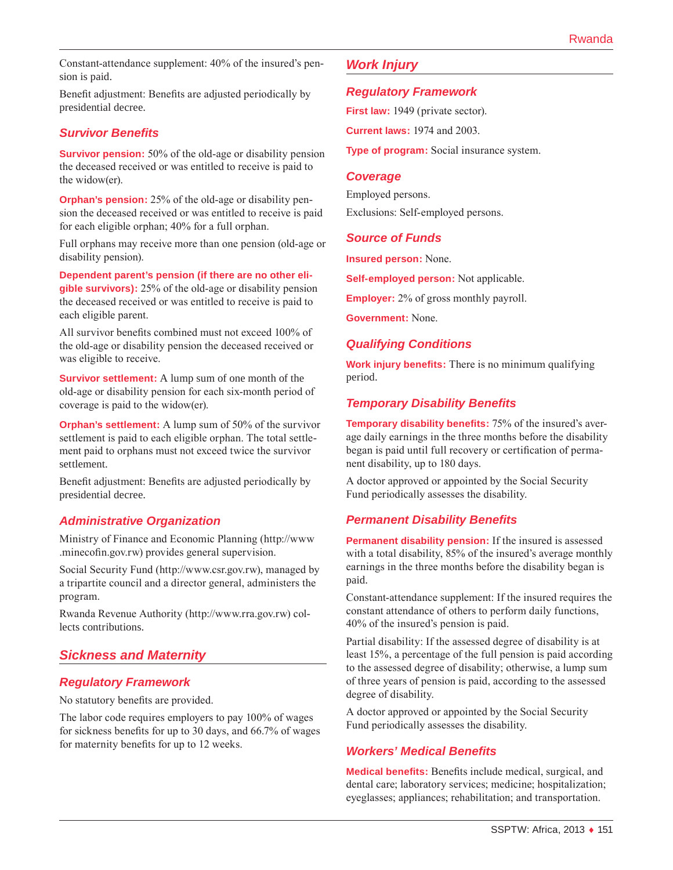Constant-attendance supplement: 40% of the insured's pension is paid.

Benefit adjustment: Benefits are adjusted periodically by presidential decree.

## *Survivor Benefits*

**Survivor pension:** 50% of the old-age or disability pension the deceased received or was entitled to receive is paid to the widow(er).

**Orphan's pension:** 25% of the old-age or disability pension the deceased received or was entitled to receive is paid for each eligible orphan; 40% for a full orphan.

Full orphans may receive more than one pension (old-age or disability pension).

**Dependent parent's pension (if there are no other eligible survivors):** 25% of the old-age or disability pension the deceased received or was entitled to receive is paid to each eligible parent.

All survivor benefits combined must not exceed 100% of the old-age or disability pension the deceased received or was eligible to receive.

**Survivor settlement:** A lump sum of one month of the old-age or disability pension for each six-month period of coverage is paid to the widow(er).

**Orphan's settlement:** A lump sum of 50% of the survivor settlement is paid to each eligible orphan. The total settlement paid to orphans must not exceed twice the survivor settlement.

Benefit adjustment: Benefits are adjusted periodically by presidential decree.

## *Administrative Organization*

Ministry of Finance and Economic Planning [\(http://www](http://www.minecofin.gov.rw) [.minecofin.gov.rw\)](http://www.minecofin.gov.rw) provides general supervision.

Social Security Fund [\(http://www.csr.gov.rw\)](http://www.csr.gov.rw), managed by a tripartite council and a director general, administers the program.

Rwanda Revenue Authority (<http://www.rra.gov.rw>) collects contributions.

# *Sickness and Maternity*

# *Regulatory Framework*

No statutory benefits are provided.

The labor code requires employers to pay 100% of wages for sickness benefits for up to 30 days, and 66.7% of wages for maternity benefits for up to 12 weeks.

# *Work Injury*

### *Regulatory Framework*

**First law:** 1949 (private sector).

**Current laws:** 1974 and 2003.

**Type of program:** Social insurance system.

#### *Coverage*

Employed persons. Exclusions: Self-employed persons.

## *Source of Funds*

**Insured person:** None.

**Self-employed person:** Not applicable.

**Employer:** 2% of gross monthly payroll.

**Government:** None.

## *Qualifying Conditions*

**Work injury benefits:** There is no minimum qualifying period.

# *Temporary Disability Benefits*

**Temporary disability benefits:** 75% of the insured's average daily earnings in the three months before the disability began is paid until full recovery or certification of permanent disability, up to 180 days.

A doctor approved or appointed by the Social Security Fund periodically assesses the disability.

# *Permanent Disability Benefits*

**Permanent disability pension:** If the insured is assessed with a total disability, 85% of the insured's average monthly earnings in the three months before the disability began is paid.

Constant-attendance supplement: If the insured requires the constant attendance of others to perform daily functions, 40% of the insured's pension is paid.

Partial disability: If the assessed degree of disability is at least 15%, a percentage of the full pension is paid according to the assessed degree of disability; otherwise, a lump sum of three years of pension is paid, according to the assessed degree of disability.

A doctor approved or appointed by the Social Security Fund periodically assesses the disability.

# *Workers' Medical Benefits*

**Medical benefits:** Benefits include medical, surgical, and dental care; laboratory services; medicine; hospitalization; eyeglasses; appliances; rehabilitation; and transportation.